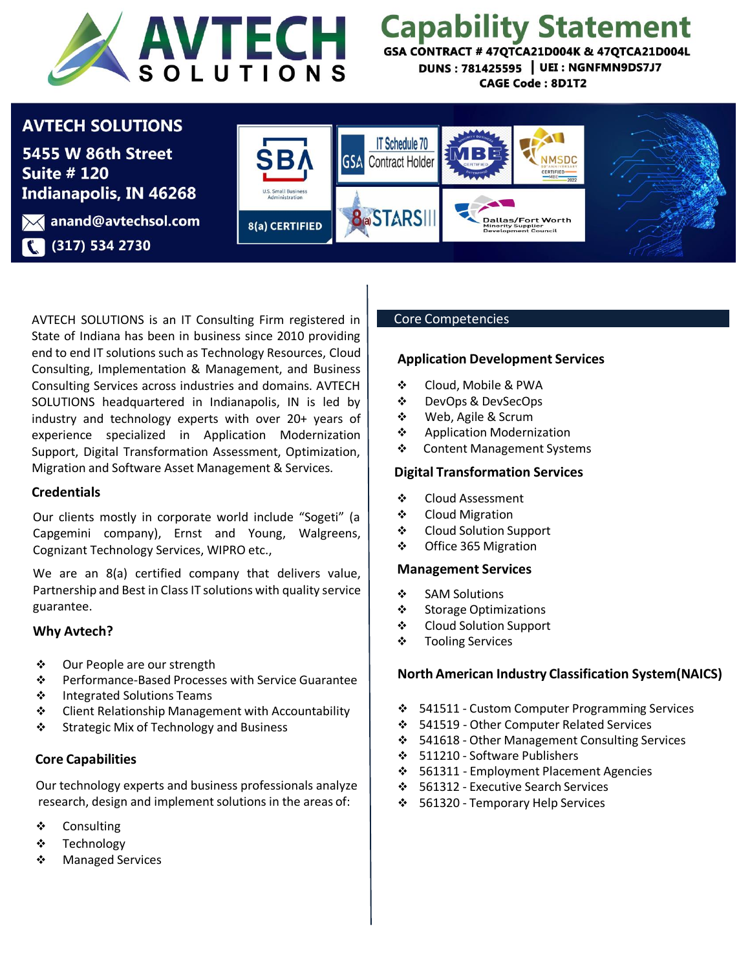

# **Capability Statement**

GSA CONTRACT # 47QTCA21D004K & 47QTCA21D004L DUNS: 781425595 | UEI: NGNFMN9DS7J7 **CAGE Code: 8D1T2** 

## **AVTECH SOLUTIONS**

5455 W 86th Street **Suite # 120 Indianapolis, IN 46268** 

**X** anand@avtechsol.com (317) 534 2730



AVTECH SOLUTIONS is an IT Consulting Firm registered in State of Indiana has been in business since 2010 providing end to end IT solutions such as Technology Resources, Cloud Consulting, Implementation & Management, and Business Consulting Services across industries and domains. AVTECH SOLUTIONS headquartered in Indianapolis, IN is led by industry and technology experts with over 20+ years of experience specialized in Application Modernization Support, Digital Transformation Assessment, Optimization, Migration and Software Asset Management & Services.

#### **Credentials**

Our clients mostly in corporate world include "Sogeti" (a Capgemini company), Ernst and Young, Walgreens, Cognizant Technology Services, WIPRO etc.,

We are an 8(a) certified company that delivers value, Partnership and Best in Class IT solutions with quality service guarantee.

#### **Why Avtech?**

- Our People are our strength
- Performance-Based Processes with Service Guarantee
- ❖ Integrated Solutions Teams
- ❖ Client Relationship Management with Accountability
- Strategic Mix of Technology and Business

#### **Core Capabilities**

Our technology experts and business professionals analyze research, design and implement solutions in the areas of:

- ❖ Consulting
- Technology
- ❖ Managed Services

#### Core Competencies

#### **Application Development Services**

- Cloud, Mobile & PWA
- DevOps & DevSecOps
- Web, Agile & Scrum
- ❖ Application Modernization
- Content Management Systems

#### **Digital Transformation Services**

- Cloud Assessment
- Cloud Migration
- Cloud Solution Support
- Office 365 Migration

#### **Management Services**

- ❖ SAM Solutions
- ❖ Storage Optimizations
- Cloud Solution Support
- ❖ Tooling Services

#### **North American Industry Classification System(NAICS)**

- 541511 Custom Computer Programming Services
- 541519 Other Computer Related Services
- 541618 Other Management Consulting Services
- 511210 Software Publishers
- 561311 Employment Placement Agencies
- 561312 Executive Search Services
- 561320 Temporary Help Services